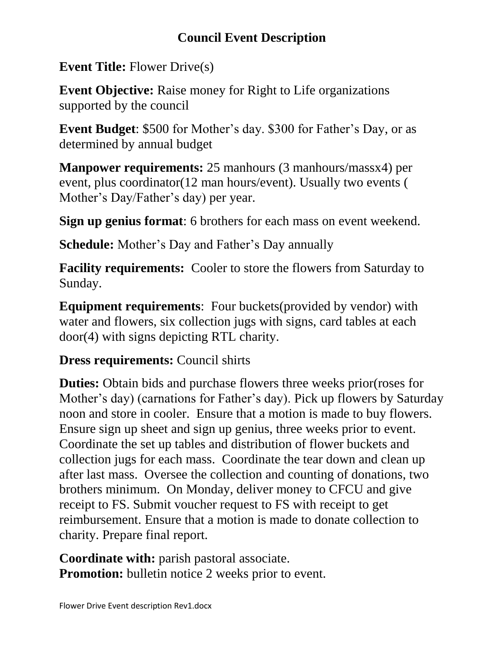## **Council Event Description**

**Event Title:** Flower Drive(s)

**Event Objective:** Raise money for Right to Life organizations supported by the council

**Event Budget**: \$500 for Mother's day. \$300 for Father's Day, or as determined by annual budget

**Manpower requirements:** 25 manhours (3 manhours/massx4) per event, plus coordinator(12 man hours/event). Usually two events ( Mother's Day/Father's day) per year.

**Sign up genius format**: 6 brothers for each mass on event weekend.

**Schedule:** Mother's Day and Father's Day annually

**Facility requirements:** Cooler to store the flowers from Saturday to Sunday.

**Equipment requirements**: Four buckets(provided by vendor) with water and flowers, six collection jugs with signs, card tables at each door(4) with signs depicting RTL charity.

## **Dress requirements:** Council shirts

**Duties:** Obtain bids and purchase flowers three weeks prior(roses for Mother's day) (carnations for Father's day). Pick up flowers by Saturday noon and store in cooler. Ensure that a motion is made to buy flowers. Ensure sign up sheet and sign up genius, three weeks prior to event. Coordinate the set up tables and distribution of flower buckets and collection jugs for each mass. Coordinate the tear down and clean up after last mass. Oversee the collection and counting of donations, two brothers minimum. On Monday, deliver money to CFCU and give receipt to FS. Submit voucher request to FS with receipt to get reimbursement. Ensure that a motion is made to donate collection to charity. Prepare final report.

**Coordinate with:** parish pastoral associate. **Promotion:** bulletin notice 2 weeks prior to event.